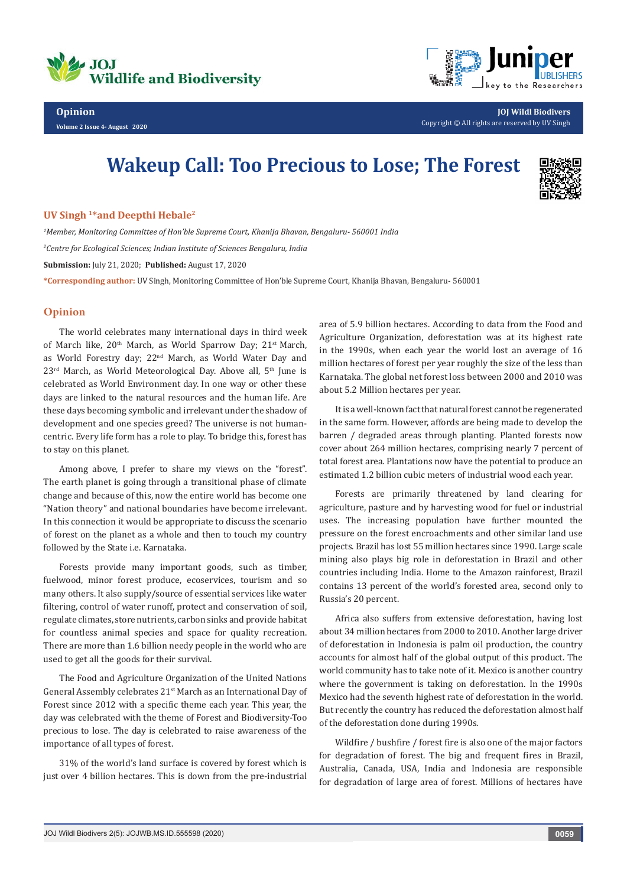



**Opinion Volume 2 Issue 4- August 2020**

**JOJ Wildl Biodivers** Copyright © All rights are reserved by UV Singh

## **Wakeup Call: Too Precious to Lose; The Forest**



## **UV Singh 1\*and Deepthi Hebale2**

*1 Member, Monitoring Committee of Hon'ble Supreme Court, Khanija Bhavan, Bengaluru- 560001 India 2 Centre for Ecological Sciences; Indian Institute of Sciences Bengaluru, India*  **Submission:** July 21, 2020; **Published:** August 17, 2020

**\*Corresponding author:** UV Singh, Monitoring Committee of Hon'ble Supreme Court, Khanija Bhavan, Bengaluru- 560001

## **Opinion**

The world celebrates many international days in third week of March like, 20<sup>th</sup> March, as World Sparrow Day; 21<sup>st</sup> March, as World Forestry day; 22nd March, as World Water Day and  $23<sup>rd</sup>$  March, as World Meteorological Day. Above all,  $5<sup>th</sup>$  June is celebrated as World Environment day. In one way or other these days are linked to the natural resources and the human life. Are these days becoming symbolic and irrelevant under the shadow of development and one species greed? The universe is not humancentric. Every life form has a role to play. To bridge this, forest has to stay on this planet.

Among above, I prefer to share my views on the "forest". The earth planet is going through a transitional phase of climate change and because of this, now the entire world has become one "Nation theory" and national boundaries have become irrelevant. In this connection it would be appropriate to discuss the scenario of forest on the planet as a whole and then to touch my country followed by the State i.e. Karnataka.

Forests provide many important goods, such as timber, fuelwood, minor forest produce, ecoservices, tourism and so many others. It also supply/source of essential services like water filtering, control of water runoff, protect and conservation of soil, regulate climates, store nutrients, carbon sinks and provide habitat for countless animal species and space for quality recreation. There are more than 1.6 billion needy people in the world who are used to get all the goods for their survival.

The Food and Agriculture Organization of the United Nations General Assembly celebrates 21st March as an International Day of Forest since 2012 with a specific theme each year. This year, the day was celebrated with the theme of Forest and Biodiversity-Too precious to lose. The day is celebrated to raise awareness of the importance of all types of forest.

31% of the world's land surface is covered by forest which is just over 4 billion hectares. This is down from the pre-industrial area of 5.9 billion hectares. According to data from the Food and Agriculture Organization, deforestation was at its highest rate in the 1990s, when each year the world lost an average of 16 million hectares of forest per year roughly the size of the less than Karnataka. The global net forest loss between 2000 and 2010 was about 5.2 Million hectares per year.

It is a well-known fact that natural forest cannot be regenerated in the same form. However, affords are being made to develop the barren / degraded areas through planting. Planted forests now cover about 264 million hectares, comprising nearly 7 percent of total forest area. Plantations now have the potential to produce an estimated 1.2 billion cubic meters of industrial wood each year.

Forests are primarily threatened by land clearing for agriculture, pasture and by harvesting wood for fuel or industrial uses. The increasing population have further mounted the pressure on the forest encroachments and other similar land use projects. Brazil has lost 55 million hectares since 1990. Large scale mining also plays big role in deforestation in Brazil and other countries including India. Home to the Amazon rainforest, Brazil contains 13 percent of the world's forested area, second only to Russia's 20 percent.

Africa also suffers from extensive deforestation, having lost about 34 million hectares from 2000 to 2010. Another large driver of deforestation in Indonesia is palm oil production, the country accounts for almost half of the global output of this product. The world community has to take note of it. Mexico is another country where the government is taking on deforestation. In the 1990s Mexico had the seventh highest rate of deforestation in the world. But recently the country has reduced the deforestation almost half of the deforestation done during 1990s.

Wildfire / bushfire / forest fire is also one of the major factors for degradation of forest. The big and frequent fires in Brazil, Australia, Canada, USA, India and Indonesia are responsible for degradation of large area of forest. Millions of hectares have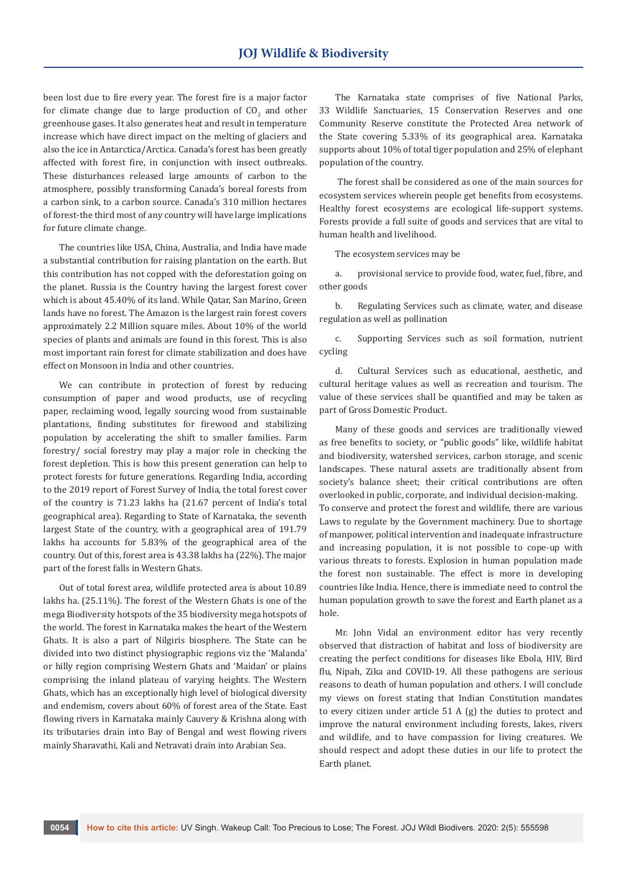been lost due to fire every year. The forest fire is a major factor for climate change due to large production of  $\mathsf{CO}_2$  and other greenhouse gases. It also generates heat and result in temperature increase which have direct impact on the melting of glaciers and also the ice in Antarctica/Arctica. Canada's forest has been greatly affected with forest fire, in conjunction with insect outbreaks. These disturbances released large amounts of carbon to the atmosphere, possibly transforming Canada's boreal forests from a carbon sink, to a carbon source. Canada's 310 million hectares of forest-the third most of any country will have large implications for future climate change.

The countries like USA, China, Australia, and India have made a substantial contribution for raising plantation on the earth. But this contribution has not copped with the deforestation going on the planet. Russia is the Country having the largest forest cover which is about 45.40% of its land. While Qatar, San Marino, Green lands have no forest. The Amazon is the largest rain forest covers approximately 2.2 Million square miles. About 10% of the world species of plants and animals are found in this forest. This is also most important rain forest for climate stabilization and does have effect on Monsoon in India and other countries.

We can contribute in protection of forest by reducing consumption of paper and wood products, use of recycling paper, reclaiming wood, legally sourcing wood from sustainable plantations, finding substitutes for firewood and stabilizing population by accelerating the shift to smaller families. Farm forestry/ social forestry may play a major role in checking the forest depletion. This is how this present generation can help to protect forests for future generations. Regarding India, according to the 2019 report of Forest Survey of India, the total forest cover of the country is 71.23 lakhs ha (21.67 percent of India's total geographical area). Regarding to State of Karnataka, the seventh largest State of the country, with a geographical area of 191.79 lakhs ha accounts for 5.83% of the geographical area of the country. Out of this, forest area is 43.38 lakhs ha (22%). The major part of the forest falls in Western Ghats.

Out of total forest area, wildlife protected area is about 10.89 lakhs ha. (25.11%). The forest of the Western Ghats is one of the mega Biodiversity hotspots of the 35 biodiversity mega hotspots of the world. The forest in Karnataka makes the heart of the Western Ghats. It is also a part of Nilgiris biosphere. The State can be divided into two distinct physiographic regions viz the 'Malanda' or hilly region comprising Western Ghats and 'Maidan' or plains comprising the inland plateau of varying heights. The Western Ghats, which has an exceptionally high level of biological diversity and endemism, covers about 60% of forest area of the State. East flowing rivers in Karnataka mainly Cauvery & Krishna along with its tributaries drain into Bay of Bengal and west flowing rivers mainly Sharavathi, Kali and Netravati drain into Arabian Sea.

The Karnataka state comprises of five National Parks, 33 Wildlife Sanctuaries, 15 Conservation Reserves and one Community Reserve constitute the Protected Area network of the State covering 5.33% of its geographical area. Karnataka supports about 10% of total tiger population and 25% of elephant population of the country.

 The forest shall be considered as one of the main sources for ecosystem services wherein people get benefits from ecosystems. Healthy forest ecosystems are ecological life-support systems. Forests provide a full suite of goods and services that are vital to human health and livelihood.

The ecosystem services may be

a. provisional service to provide food, water, fuel, fibre, and other goods

b. Regulating Services such as climate, water, and disease regulation as well as pollination

c. Supporting Services such as soil formation, nutrient cycling

d. Cultural Services such as educational, aesthetic, and cultural heritage values as well as recreation and tourism. The value of these services shall be quantified and may be taken as part of Gross Domestic Product.

Many of these goods and services are traditionally viewed as free benefits to society, or "public goods" like, wildlife habitat and biodiversity, watershed services, carbon storage, and scenic landscapes. These natural assets are traditionally absent from society's balance sheet; their critical contributions are often overlooked in public, corporate, and individual decision-making. To conserve and protect the forest and wildlife, there are various Laws to regulate by the Government machinery. Due to shortage of manpower, political intervention and inadequate infrastructure and increasing population, it is not possible to cope-up with various threats to forests. Explosion in human population made the forest non sustainable. The effect is more in developing countries like India. Hence, there is immediate need to control the human population growth to save the forest and Earth planet as a hole.

Mr. John Vidal an environment editor has very recently observed that distraction of habitat and loss of biodiversity are creating the perfect conditions for diseases like Ebola, HIV, Bird flu, Nipah, Zika and COVID-19. All these pathogens are serious reasons to death of human population and others. I will conclude my views on forest stating that Indian Constitution mandates to every citizen under article 51 A (g) the duties to protect and improve the natural environment including forests, lakes, rivers and wildlife, and to have compassion for living creatures. We should respect and adopt these duties in our life to protect the Earth planet.